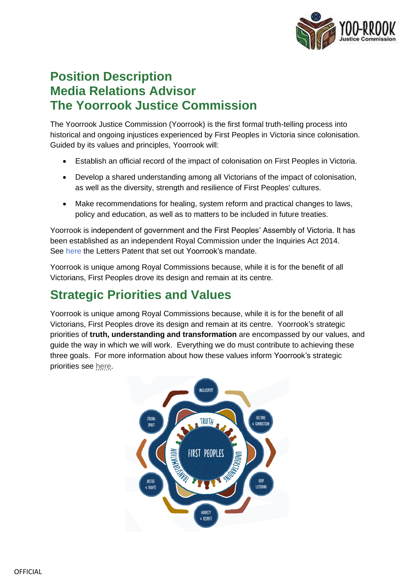

### **Position Description Media Relations Advisor The Yoorrook Justice Commission**

The Yoorrook Justice Commission (Yoorrook) is the first formal truth-telling process into historical and ongoing injustices experienced by First Peoples in Victoria since colonisation. Guided by its values and principles, Yoorrook will:

- Establish an official record of the impact of colonisation on First Peoples in Victoria.
- Develop a shared understanding among all Victorians of the impact of colonisation, as well as the diversity, strength and resilience of First Peoples' cultures.
- Make recommendations for healing, system reform and practical changes to laws, policy and education, as well as to matters to be included in future treaties.

Yoorrook is independent of government and the First Peoples' Assembly of Victoria. It has been established as an independent Royal Commission under the *Inquiries Act 2014*. See [here](https://yoorrookjusticecommission.org.au/wp-content/uploads/2021/09/Letters-Patent-Yoo-rrook-Justice-Commission-signed-10-1.pdf) the Letters Patent that set out Yoorrook's mandate.

Yoorrook is unique among Royal Commissions because, while it is for the benefit of all Victorians, First Peoples drove its design and remain at its centre.

# **Strategic Priorities and Values**

Yoorrook is unique among Royal Commissions because, while it is for the benefit of all Victorians, First Peoples drove its design and remain at its centre. Yoorrook's strategic priorities of **truth, understanding and transformation** are encompassed by our values, and guide the way in which we will work.Everything we do must contribute to achieving these three goals. For more information about how these values inform Yoorrook's strategic priorities see [here](https://yoorrookjusticecommission.org.au/wp-content/uploads/2021/10/Yoo-rrook-Strategic-Priorities.pdf).

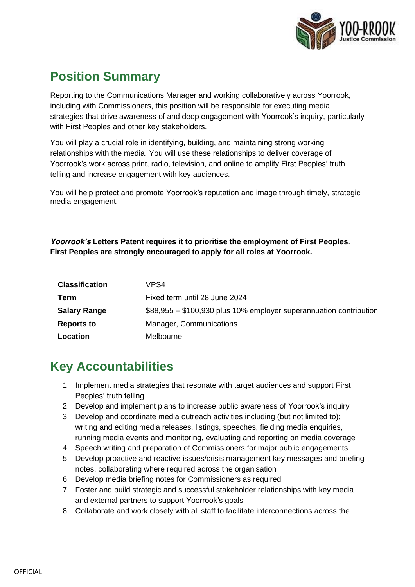

# **Position Summary**

Reporting to the Communications Manager and working collaboratively across Yoorrook, including with Commissioners, this position will be responsible for executing media strategies that drive awareness of and deep engagement with Yoorrook's inquiry, particularly with First Peoples and other key stakeholders.

You will play a crucial role in identifying, building, and maintaining strong working relationships with the media. You will use these relationships to deliver coverage of Yoorrook's work across print, radio, television, and online to amplify First Peoples' truth telling and increase engagement with key audiences.

You will help protect and promote Yoorrook's reputation and image through timely, strategic media engagement.

*Yoorrook's Letters Patent requires it to prioritise the employment of First Peoples. First Peoples are strongly encouraged to apply for all roles at Yoorrook.*

| <b>Classification</b> | VPS4                                                               |
|-----------------------|--------------------------------------------------------------------|
| Term                  | Fixed term until 28 June 2024                                      |
| <b>Salary Range</b>   | \$88,955 - \$100,930 plus 10% employer superannuation contribution |
| <b>Reports to</b>     | Manager, Communications                                            |
| Location              | Melbourne                                                          |

# **Key Accountabilities**

- 1. Implement media strategies that resonate with target audiences and support First Peoples' truth telling
- 2. Develop and implement plans to increase public awareness of Yoorrook's inquiry
- 3. Develop and coordinate media outreach activities including (but not limited to); writing and editing media releases, listings, speeches, fielding media enquiries, running media events and monitoring, evaluating and reporting on media coverage
- 4. Speech writing and preparation of Commissioners for major public engagements
- 5. Develop proactive and reactive issues/crisis management key messages and briefing notes, collaborating where required across the organisation
- 6. Develop media briefing notes for Commissioners as required
- 7. Foster and build strategic and successful stakeholder relationships with key media and external partners to support Yoorrook's goals
- 8. Collaborate and work closely with all staff to facilitate interconnections across the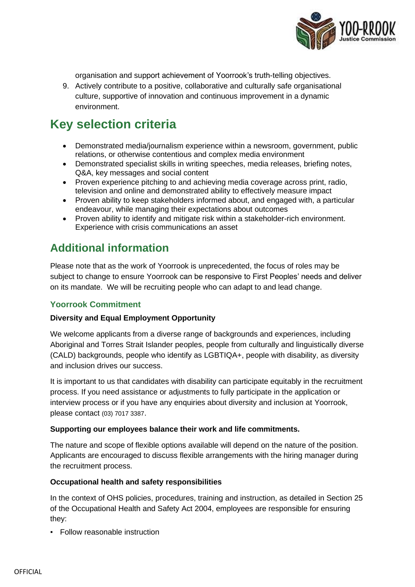

organisation and support achievement of Yoorrook's truth-telling objectives.

9. Actively contribute to a positive, collaborative and culturally safe organisational culture, supportive of innovation and continuous improvement in a dynamic environment.

### **Key selection criteria**

- Demonstrated media/journalism experience within a newsroom, government, public relations, or otherwise contentious and complex media environment
- Demonstrated specialist skills in writing speeches, media releases, briefing notes, Q&A, key messages and social content
- Proven experience pitching to and achieving media coverage across print, radio, television and online and demonstrated ability to effectively measure impact
- Proven ability to keep stakeholders informed about, and engaged with, a particular endeavour, while managing their expectations about outcomes
- Proven ability to identify and mitigate risk within a stakeholder-rich environment. Experience with crisis communications an asset

### **Additional information**

Please note that as the work of Yoorrook is unprecedented, the focus of roles may be subject to change to ensure Yoorrook can be responsive to First Peoples' needs and deliver on its mandate. We will be recruiting people who can adapt to and lead change.

#### **Yoorrook Commitment**

#### **Diversity and Equal Employment Opportunity**

We welcome applicants from a diverse range of backgrounds and experiences, including Aboriginal and Torres Strait Islander peoples, people from culturally and linguistically diverse (CALD) backgrounds, people who identify as LGBTIQA+, people with disability, as diversity and inclusion drives our success.

It is important to us that candidates with disability can participate equitably in the recruitment process. If you need assistance or adjustments to fully participate in the application or interview process or if you have any enquiries about diversity and inclusion at Yoorrook, please contact (03) 7017 3387.

#### **Supporting our employees balance their work and life commitments.**

The nature and scope of flexible options available will depend on the nature of the position. Applicants are encouraged to discuss flexible arrangements with the hiring manager during the recruitment process.

#### **Occupational health and safety responsibilities**

In the context of OHS policies, procedures, training and instruction, as detailed in Section 25 of the *Occupational Health and Safety Act 2004*, employees are responsible for ensuring they:

▪ Follow reasonable instruction